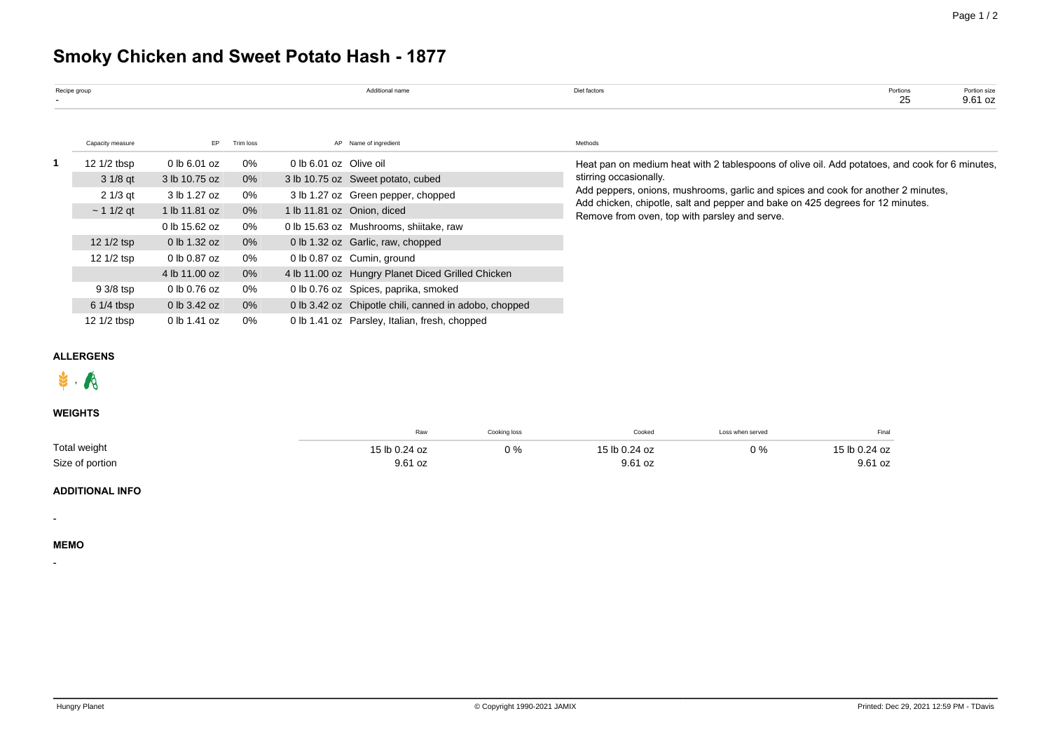# **Smoky Chicken and Sweet Potato Hash - 1877**

| Recipe group |                  |               |           |                        | Additional name                                       | Diet factors                                                                                                                    | Portions<br>25 | Portion size<br>9.61 oz |  |  |  |  |  |
|--------------|------------------|---------------|-----------|------------------------|-------------------------------------------------------|---------------------------------------------------------------------------------------------------------------------------------|----------------|-------------------------|--|--|--|--|--|
|              | Capacity measure | EP.           | Trim loss |                        | AP Name of ingredient                                 | Methods                                                                                                                         |                |                         |  |  |  |  |  |
|              | 12 1/2 tbsp      | 0 lb 6.01 oz  | 0%        | 0 lb 6.01 oz Olive oil |                                                       | Heat pan on medium heat with 2 tablespoons of olive oil. Add potatoes, and cook for 6 minutes,                                  |                |                         |  |  |  |  |  |
|              | $31/8$ qt        | 3 lb 10.75 oz | 0%        |                        | 3 lb 10.75 oz Sweet potato, cubed                     | stirring occasionally.                                                                                                          |                |                         |  |  |  |  |  |
|              | $21/3$ qt        | 3 lb 1.27 oz  | 0%        |                        | 3 lb 1.27 oz Green pepper, chopped                    | Add peppers, onions, mushrooms, garlic and spices and cook for another 2 minutes,                                               |                |                         |  |  |  |  |  |
|              | $\sim$ 1 1/2 gt  | 1 lb 11.81 oz | 0%        |                        | 1 lb 11.81 oz Onion, diced                            | Add chicken, chipotle, salt and pepper and bake on 425 degrees for 12 minutes.<br>Remove from oven, top with parsley and serve. |                |                         |  |  |  |  |  |
|              |                  | 0 lb 15.62 oz | 0%        |                        | 0 lb 15.63 oz Mushrooms, shiitake, raw                |                                                                                                                                 |                |                         |  |  |  |  |  |
|              | 12 1/2 tsp       | 0 lb 1.32 oz  | $0\%$     |                        | 0 lb 1.32 oz Garlic, raw, chopped                     |                                                                                                                                 |                |                         |  |  |  |  |  |
|              | 12 1/2 tsp       | 0 lb 0.87 oz  | 0%        |                        | 0 lb 0.87 oz Cumin, ground                            |                                                                                                                                 |                |                         |  |  |  |  |  |
|              |                  | 4 lb 11.00 oz | 0%        |                        | 4 lb 11.00 oz Hungry Planet Diced Grilled Chicken     |                                                                                                                                 |                |                         |  |  |  |  |  |
|              | 9 3/8 tsp        | 0 lb 0.76 oz  | 0%        |                        | 0 lb 0.76 oz Spices, paprika, smoked                  |                                                                                                                                 |                |                         |  |  |  |  |  |
|              | $61/4$ tbsp      | 0 lb 3.42 oz  | $0\%$     |                        | 0 lb 3.42 oz Chipotle chili, canned in adobo, chopped |                                                                                                                                 |                |                         |  |  |  |  |  |
|              | 12 1/2 tbsp      | 0 lb 1.41 oz  | 0%        |                        | 0 lb 1.41 oz Parsley, Italian, fresh, chopped         |                                                                                                                                 |                |                         |  |  |  |  |  |

## **ALLERGENS**



## **WEIGHTS**

|                 | Raw           | Cooking loss | Cooked<br>.   | Loss when served | Final         |
|-----------------|---------------|--------------|---------------|------------------|---------------|
| Total weight    | 15 lb 0.24 oz | 0 %          | 15 lb 0.24 oz | 0%               | 15 lb 0.24 oz |
| Size of portion | 9.61 oz       |              | 9.61 oz       |                  | 9.61 oz       |

### **ADDITIONAL INFO**

**MEMO**

-

-